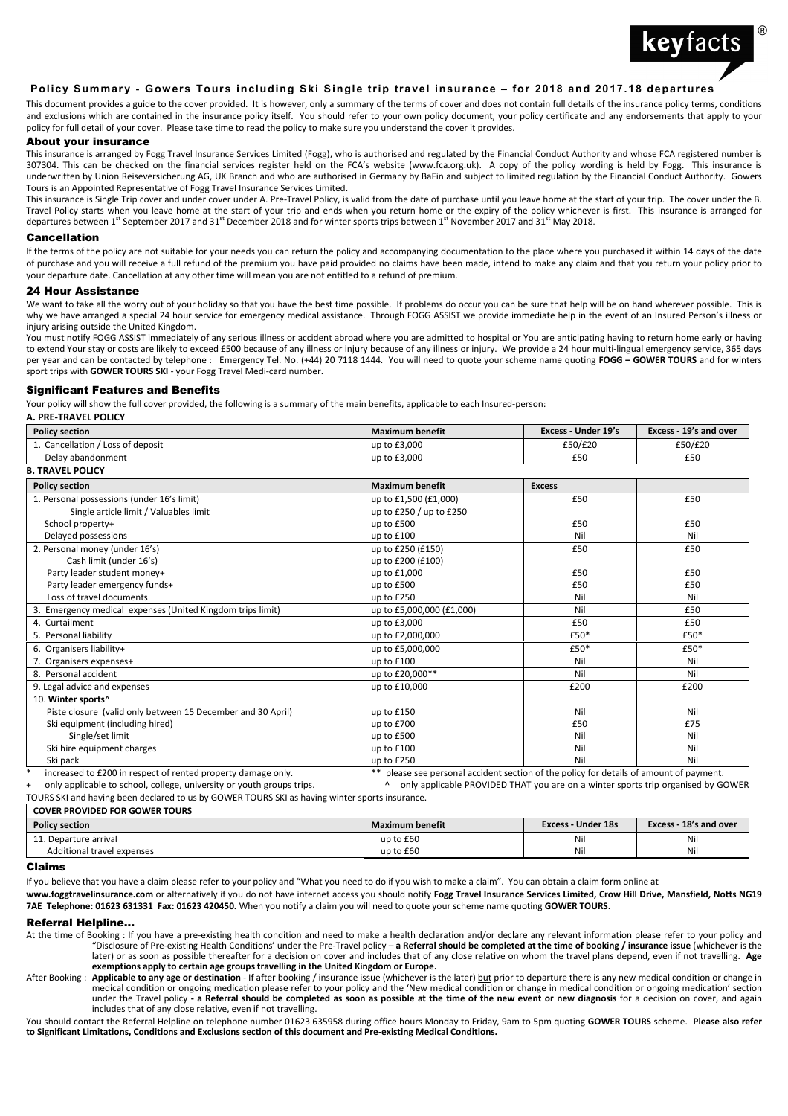

## Policy Summary - Gowers Tours including Ski Single trip travel insurance - for 2018 and 2017.18 departures

This document provides a guide to the cover provided. It is however, only a summary of the terms of cover and does not contain full details of the insurance policy terms, conditions and exclusions which are contained in the insurance policy itself. You should refer to your own policy document, your policy certificate and any endorsements that apply to your policy for full detail of your cover. Please take time to read the policy to make sure you understand the cover it provides.

#### About your insurance

This insurance is arranged by Fogg Travel Insurance Services Limited (Fogg), who is authorised and regulated by the Financial Conduct Authority and whose FCA registered number is 307304. This can be checked on the financial services register held on the FCA's website (www.fca.org.uk). A copy of the policy wording is held by Fogg. This insurance is underwritten by Union Reiseversicherung AG, UK Branch and who are authorised in Germany by BaFin and subject to limited regulation by the Financial Conduct Authority. Gowers Tours is an Appointed Representative of Fogg Travel Insurance Services Limited.

This insurance is Single Trip cover and under cover under A. Pre-Travel Policy, is valid from the date of purchase until you leave home at the start of your trip. The cover under the B. Travel Policy starts when you leave home at the start of your trip and ends when you return home or the expiry of the policy whichever is first. This insurance is arranged for departures between 1<sup>st</sup> September 2017 and 31<sup>st</sup> December 2018 and for winter sports trips between 1<sup>st</sup> November 2017 and 31<sup>st</sup> May 2018.

#### Cancellation

If the terms of the policy are not suitable for your needs you can return the policy and accompanying documentation to the place where you purchased it within 14 days of the date of purchase and you will receive a full refund of the premium you have paid provided no claims have been made, intend to make any claim and that you return your policy prior to your departure date. Cancellation at any other time will mean you are not entitled to a refund of premium.

#### 24 Hour Assistance

We want to take all the worry out of your holiday so that you have the best time possible. If problems do occur you can be sure that help will be on hand wherever possible. This is why we have arranged a special 24 hour service for emergency medical assistance. Through FOGG ASSIST we provide immediate help in the event of an Insured Person's illness or injury arising outside the United Kingdom.

You must notify FOGG ASSIST immediately of any serious illness or accident abroad where you are admitted to hospital or You are anticipating having to return home early or having to extend Your stay or costs are likely to exceed £500 because of any illness or injury because of any illness or injury. We provide a 24 hour multi-lingual emergency service, 365 days per year and can be contacted by telephone : Emergency Tel. No. (+44) 20 7118 1444. You will need to quote your scheme name quoting **FOGG – GOWER TOURS** and for winters sport trips with **GOWER TOURS SKI** - your Fogg Travel Medi-card number.

#### Significant Features and Benefits

Your policy will show the full cover provided, the following is a summary of the main benefits, applicable to each Insured-person:

**A. PRE-TRAVEL POLICY**

| <b>Policy section</b>                                        | <b>Maximum benefit</b>                                                                  | <b>Excess - Under 19's</b> | Excess - 19's and over |
|--------------------------------------------------------------|-----------------------------------------------------------------------------------------|----------------------------|------------------------|
| 1. Cancellation / Loss of deposit                            | up to £3,000                                                                            | £50/£20                    | £50/£20                |
| Delay abandonment                                            | up to £3,000                                                                            | £50                        | £50                    |
| <b>B. TRAVEL POLICY</b>                                      |                                                                                         |                            |                        |
| <b>Policy section</b>                                        | <b>Maximum benefit</b>                                                                  | <b>Excess</b>              |                        |
| 1. Personal possessions (under 16's limit)                   | up to £1,500 (£1,000)                                                                   | £50                        | £50                    |
| Single article limit / Valuables limit                       | up to £250 / up to £250                                                                 |                            |                        |
| School property+                                             | up to £500                                                                              | £50                        | £50                    |
| Delayed possessions                                          | up to £100                                                                              | Nil                        | Nil                    |
| 2. Personal money (under 16's)                               | up to £250 (£150)                                                                       | £50                        | £50                    |
| Cash limit (under 16's)                                      | up to £200 (£100)                                                                       |                            |                        |
| Party leader student money+                                  | up to £1,000                                                                            | £50                        | £50                    |
| Party leader emergency funds+                                | up to £500                                                                              | £50                        | £50                    |
| Loss of travel documents                                     | up to £250                                                                              | Nil                        | Nil                    |
| 3. Emergency medical expenses (United Kingdom trips limit)   | up to £5,000,000 (£1,000)                                                               | Nil                        | £50                    |
| 4. Curtailment                                               | up to £3,000                                                                            | £50                        | £50                    |
| 5. Personal liability                                        | up to £2,000,000                                                                        | £50*                       | £50*                   |
| 6. Organisers liability+                                     | up to £5,000,000                                                                        | £50*                       | £50*                   |
| 7. Organisers expenses+                                      | up to £100                                                                              | Nil                        | Nil                    |
| 8. Personal accident                                         | up to £20,000**                                                                         | Nil                        | Nil                    |
| 9. Legal advice and expenses                                 | up to £10,000                                                                           | £200                       | £200                   |
| 10. Winter sports^                                           |                                                                                         |                            |                        |
| Piste closure (valid only between 15 December and 30 April)  | up to £150                                                                              | Nil                        | Nil                    |
| Ski equipment (including hired)                              | up to £700                                                                              | £50                        | £75                    |
| Single/set limit                                             | up to £500                                                                              | Nil                        | Nil                    |
| Ski hire equipment charges                                   | up to £100                                                                              | Nil                        | Nil                    |
| Ski pack                                                     | up to £250                                                                              | Nil                        | Nil                    |
| increased to £200 in respect of rented property damage only. | ** please see personal accident section of the policy for details of amount of payment. |                            |                        |

TOURS SKI and having been declared to us by GOWER TOURS SKI as having winter sports insurance.

| <b>COVER PROVIDED FOR GOWER TOURS</b> |                 |                    |                        |
|---------------------------------------|-----------------|--------------------|------------------------|
| <b>Policy section</b>                 | Maximum benefit | Excess - Under 18s | Excess - 18's and over |
| 11. Departure arrival                 | up to £60       | Nii                | Nil                    |
| Additional travel expenses            | up to £60       | Nil                | Nil                    |

## Claims

If you believe that you have a claim please refer to your policy and "What you need to do if you wish to make a claim". You can obtain a claim form online at

**www.foggtravelinsurance.com** or alternatively if you do not have internet access you should notify **Fogg Travel Insurance Services Limited, Crow Hill Drive, Mansfield, Notts NG19 7AE Telephone: 01623 631331 Fax: 01623 420450.** When you notify a claim you will need to quote your scheme name quoting **GOWER TOURS**.

## Referral Helpline…

At the time of Booking : If you have a pre-existing health condition and need to make a health declaration and/or declare any relevant information please refer to your policy and "Disclosure of Pre-existing Health Conditions' under the Pre-Travel policy – **a Referral should be completed at the time of booking / insurance issue** (whichever is the later) or as soon as possible thereafter for a decision on cover and includes that of any close relative on whom the travel plans depend, even if not travelling. **Age exemptions apply to certain age groups travelling in the United Kingdom or Europe.**

After Booking : **Applicable to any age or destination** - If after booking / insurance issue (whichever is the later) but prior to departure there is any new medical condition or change in medical condition or ongoing medication please refer to your policy and the 'New medical condition or change in medical condition or ongoing medication' section under the Travel policy - a Referral should be completed as soon as possible at the time of the new event or new diagnosis for a decision on cover, and again includes that of any close relative, even if not travelling.

You should contact the Referral Helpline on telephone number 01623 635958 during office hours Monday to Friday, 9am to 5pm quoting **GOWER TOURS** scheme. **Please also refer to Significant Limitations, Conditions and Exclusions section of this document and Pre-existing Medical Conditions.**

<sup>+</sup> only applicable to school, college, university or youth groups trips. ^ only applicable PROVIDED THAT you are on a winter sports trip organised by GOWER